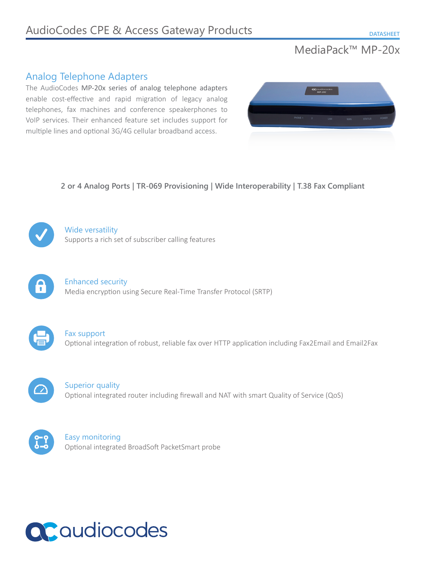# MediaPack™ MP-20x

# Analog Telephone Adapters

The AudioCodes MP-20x series of analog telephone adapters enable cost-effective and rapid migration of legacy analog telephones, fax machines and conference speakerphones to VoIP services. Their enhanced feature set includes support for multiple lines and optional 3G/4G cellular broadband access.



**2 or 4 Analog Ports | TR-069 Provisioning | Wide Interoperability | T.38 Fax Compliant**



Wide versatility Supports a rich set of subscriber calling features



Enhanced security Media encryption using Secure Real-Time Transfer Protocol (SRTP)



Fax support Optional integration of robust, reliable fax over HTTP application including Fax2Email and Email2Fax



Superior quality Optional integrated router including firewall and NAT with smart Quality of Service (QoS)



Easy monitoring Optional integrated BroadSoft PacketSmart probe